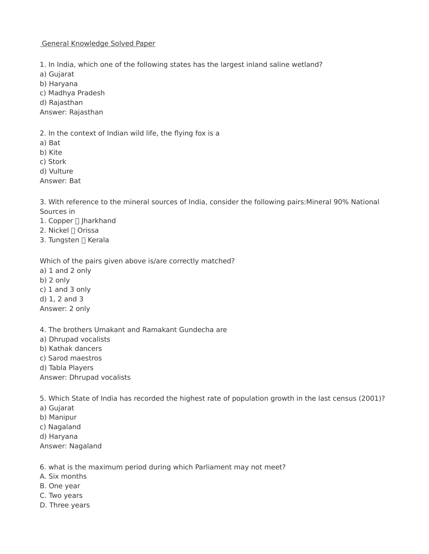## General Knowledge Solved Paper

1. In India, which one of the following states has the largest inland saline wetland?

- a) Gujarat
- b) Haryana
- c) Madhya Pradesh
- d) Rajasthan
- Answer: Rajasthan

## 2. In the context of Indian wild life, the flying fox is a

- a) Bat
- b) Kite
- c) Stork
- d) Vulture
- Answer: Bat

3. With reference to the mineral sources of India, consider the following pairs:Mineral 90% National Sources in

- 1. Copper  $\sqcap$  Jharkhand
- 2. Nickel ∏ Orissa
- 3. Tungsten [ Kerala

Which of the pairs given above is/are correctly matched?

- a) 1 and 2 only
- b) 2 only
- c) 1 and 3 only
- d) 1, 2 and 3
- Answer: 2 only
- 4. The brothers Umakant and Ramakant Gundecha are
- a) Dhrupad vocalists
- b) Kathak dancers
- c) Sarod maestros
- d) Tabla Players
- Answer: Dhrupad vocalists

5. Which State of India has recorded the highest rate of population growth in the last census (2001)?

- a) Gujarat
- b) Manipur
- c) Nagaland
- d) Haryana
- Answer: Nagaland

## 6. what is the maximum period during which Parliament may not meet?

- A. Six months
- B. One year
- C. Two years
- D. Three years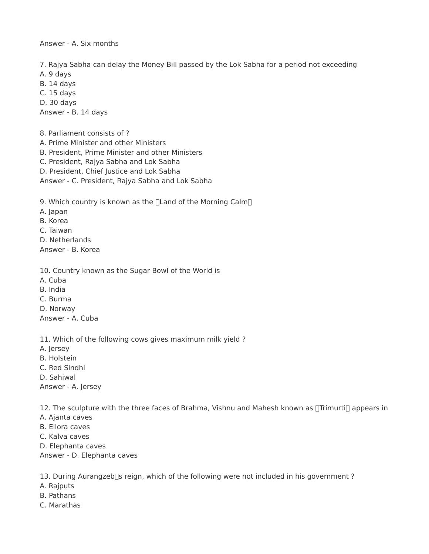Answer - A. Six months

7. Rajya Sabha can delay the Money Bill passed by the Lok Sabha for a period not exceeding

- A. 9 days
- B. 14 days
- C. 15 days
- D. 30 days

Answer - B. 14 days

- 8. Parliament consists of ?
- A. Prime Minister and other Ministers
- B. President, Prime Minister and other Ministers
- C. President, Rajya Sabha and Lok Sabha
- D. President, Chief Justice and Lok Sabha
- Answer C. President, Rajya Sabha and Lok Sabha

9. Which country is known as the  $\Box$  Land of the Morning Calm $\Box$ 

- A. Japan
- B. Korea
- C. Taiwan
- D. Netherlands

Answer - B. Korea

- 10. Country known as the Sugar Bowl of the World is
- A. Cuba
- B. India
- C. Burma
- D. Norway

Answer - A. Cuba

11. Which of the following cows gives maximum milk yield ?

- A. Jersey
- B. Holstein
- C. Red Sindhi
- D. Sahiwal

Answer - A. Jersey

12. The sculpture with the three faces of Brahma, Vishnu and Mahesh known as  $\Box$ Trimurti $\Box$  appears in

- A. Ajanta caves
- B. Ellora caves
- C. Kalva caves
- D. Elephanta caves

Answer - D. Elephanta caves

13. During Aurangzeb<sup>[]</sup>s reign, which of the following were not included in his government?

- A. Rajputs
- B. Pathans
- C. Marathas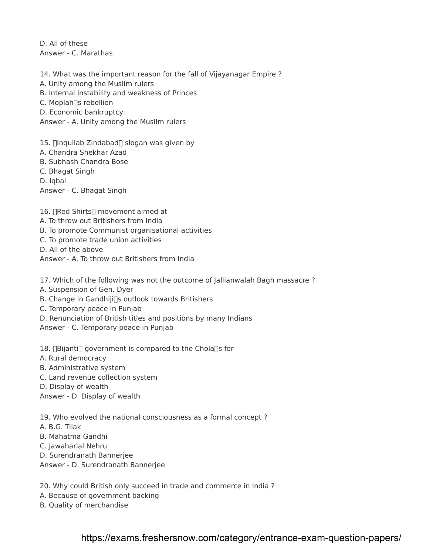D. All of these Answer - C. Marathas

14. What was the important reason for the fall of Vijayanagar Empire ?

- A. Unity among the Muslim rulers
- B. Internal instability and weakness of Princes
- C. Moplah<sup>[</sup>s rebellion]
- D. Economic bankruptcy

Answer - A. Unity among the Muslim rulers

15.  $\Box$ Inquilab Zindabad $\Box$  slogan was given by

- A. Chandra Shekhar Azad
- B. Subhash Chandra Bose
- C. Bhagat Singh
- D. Iqbal

Answer - C. Bhagat Singh

16. Red Shirts<sup>n</sup> movement aimed at

- A. To throw out Britishers from India
- B. To promote Communist organisational activities
- C. To promote trade union activities
- D. All of the above

Answer - A. To throw out Britishers from India

17. Which of the following was not the outcome of Jallianwalah Bagh massacre ?

- A. Suspension of Gen. Dyer
- B. Change in Gandhiji<sup>o</sup>s outlook towards Britishers
- C. Temporary peace in Punjab
- D. Renunciation of British titles and positions by many Indians

Answer - C. Temporary peace in Punjab

18.  $\Box$ Bijanti $\Box$  government is compared to the Chola $\Box$ s for

- A. Rural democracy
- B. Administrative system
- C. Land revenue collection system
- D. Display of wealth

Answer - D. Display of wealth

19. Who evolved the national consciousness as a formal concept ?

- A. B.G. Tilak
- B. Mahatma Gandhi
- C. Jawaharlal Nehru
- D. Surendranath Bannerjee

Answer - D. Surendranath Bannerjee

20. Why could British only succeed in trade and commerce in India ?

- A. Because of government backing
- B. Quality of merchandise